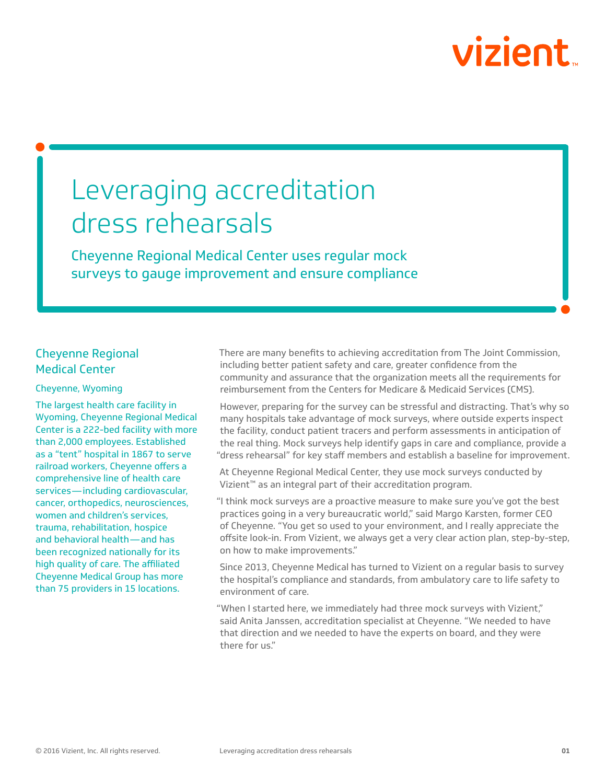# vizient

# Leveraging accreditation dress rehearsals

Cheyenne Regional Medical Center uses regular mock surveys to gauge improvement and ensure compliance

# Cheyenne Regional Medical Center

#### Cheyenne, Wyoming

The largest health care facility in Wyoming, Cheyenne Regional Medical Center is a 222-bed facility with more than 2,000 employees. Established as a "tent" hospital in 1867 to serve railroad workers, Cheyenne offers a comprehensive line of health care services—including cardiovascular, cancer, orthopedics, neurosciences, women and children's services, trauma, rehabilitation, hospice and behavioral health—and has been recognized nationally for its high quality of care. The affiliated Cheyenne Medical Group has more than 75 providers in 15 locations.

There are many benefits to achieving accreditation from The Joint Commission, including better patient safety and care, greater confidence from the community and assurance that the organization meets all the requirements for reimbursement from the Centers for Medicare & Medicaid Services (CMS).

However, preparing for the survey can be stressful and distracting. That's why so many hospitals take advantage of mock surveys, where outside experts inspect the facility, conduct patient tracers and perform assessments in anticipation of the real thing. Mock surveys help identify gaps in care and compliance, provide a "dress rehearsal" for key staff members and establish a baseline for improvement.

At Cheyenne Regional Medical Center, they use mock surveys conducted by Vizient™ as an integral part of their accreditation program.

"I think mock surveys are a proactive measure to make sure you've got the best practices going in a very bureaucratic world," said Margo Karsten, former CEO of Cheyenne. "You get so used to your environment, and I really appreciate the offsite look-in. From Vizient, we always get a very clear action plan, step-by-step, on how to make improvements."

Since 2013, Cheyenne Medical has turned to Vizient on a regular basis to survey the hospital's compliance and standards, from ambulatory care to life safety to environment of care.

"When I started here, we immediately had three mock surveys with Vizient," said Anita Janssen, accreditation specialist at Cheyenne. "We needed to have that direction and we needed to have the experts on board, and they were there for us."